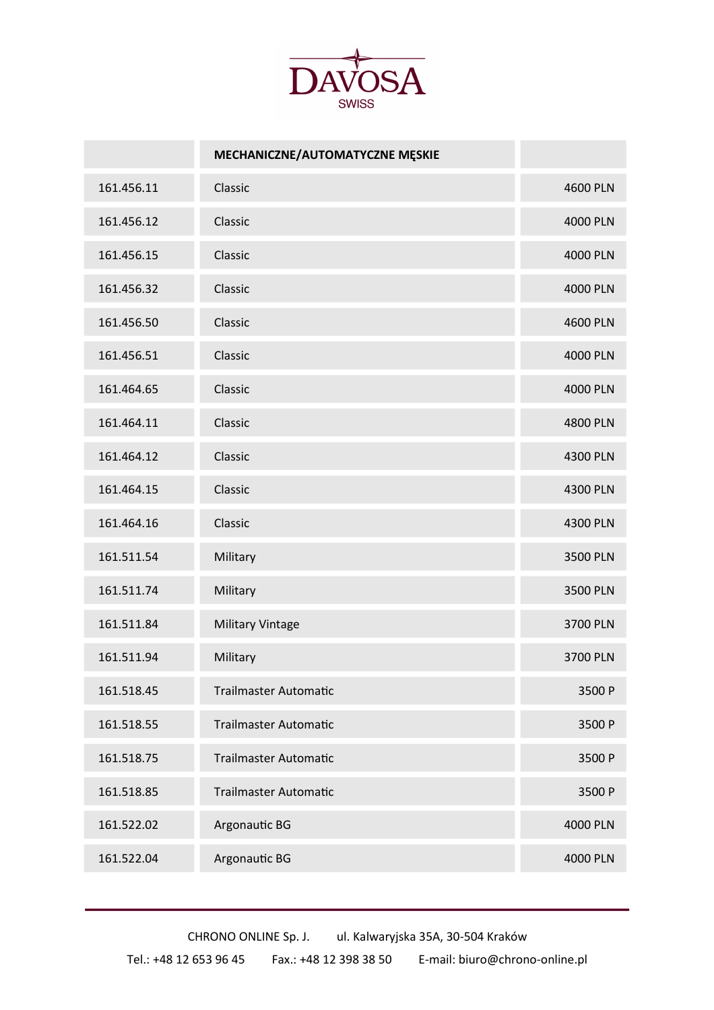

|            | MECHANICZNE/AUTOMATYCZNE MĘSKIE |          |
|------------|---------------------------------|----------|
| 161.456.11 | Classic                         | 4600 PLN |
| 161.456.12 | Classic                         | 4000 PLN |
| 161.456.15 | Classic                         | 4000 PLN |
| 161.456.32 | Classic                         | 4000 PLN |
| 161.456.50 | Classic                         | 4600 PLN |
| 161.456.51 | Classic                         | 4000 PLN |
| 161.464.65 | Classic                         | 4000 PLN |
| 161.464.11 | Classic                         | 4800 PLN |
| 161.464.12 | Classic                         | 4300 PLN |
| 161.464.15 | Classic                         | 4300 PLN |
| 161.464.16 | Classic                         | 4300 PLN |
| 161.511.54 | Military                        | 3500 PLN |
| 161.511.74 | Military                        | 3500 PLN |
| 161.511.84 | <b>Military Vintage</b>         | 3700 PLN |
| 161.511.94 | Military                        | 3700 PLN |
| 161.518.45 | <b>Trailmaster Automatic</b>    | 3500 P   |
| 161.518.55 | <b>Trailmaster Automatic</b>    | 3500 P   |
| 161.518.75 | <b>Trailmaster Automatic</b>    | 3500 P   |
| 161.518.85 | <b>Trailmaster Automatic</b>    | 3500 P   |
| 161.522.02 | Argonautic BG                   | 4000 PLN |
| 161.522.04 | Argonautic BG                   | 4000 PLN |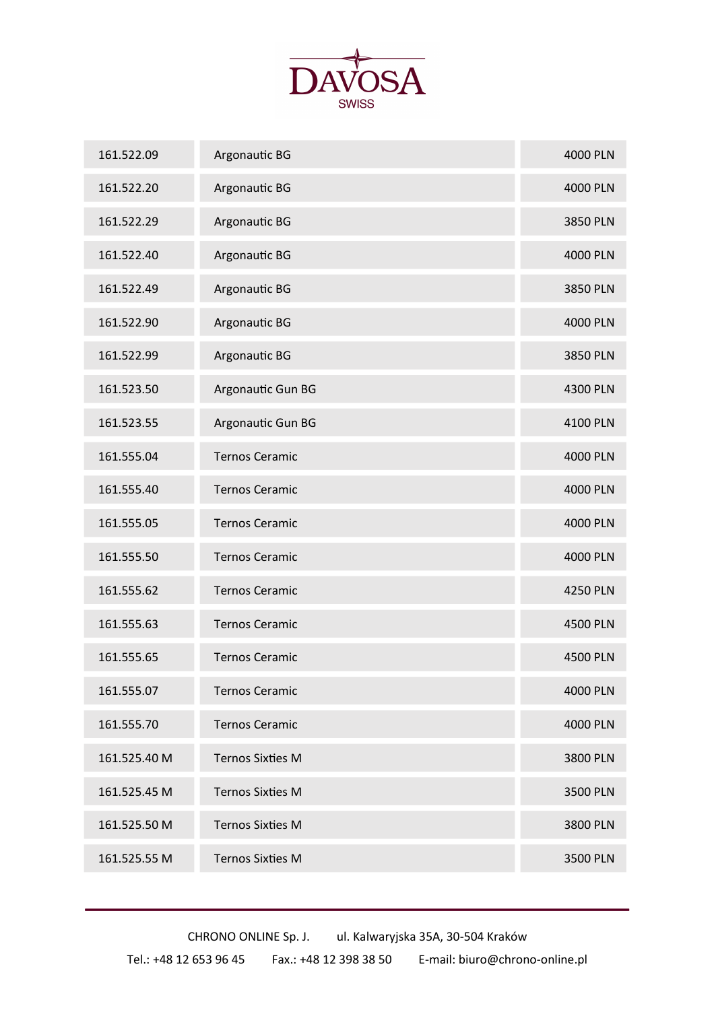

| 161.522.09   | Argonautic BG           | 4000 PLN |
|--------------|-------------------------|----------|
| 161.522.20   | Argonautic BG           | 4000 PLN |
| 161.522.29   | Argonautic BG           | 3850 PLN |
| 161.522.40   | Argonautic BG           | 4000 PLN |
| 161.522.49   | Argonautic BG           | 3850 PLN |
| 161.522.90   | Argonautic BG           | 4000 PLN |
| 161.522.99   | Argonautic BG           | 3850 PLN |
| 161.523.50   | Argonautic Gun BG       | 4300 PLN |
| 161.523.55   | Argonautic Gun BG       | 4100 PLN |
| 161.555.04   | <b>Ternos Ceramic</b>   | 4000 PLN |
| 161.555.40   | <b>Ternos Ceramic</b>   | 4000 PLN |
| 161.555.05   | <b>Ternos Ceramic</b>   | 4000 PLN |
| 161.555.50   | <b>Ternos Ceramic</b>   | 4000 PLN |
| 161.555.62   | <b>Ternos Ceramic</b>   | 4250 PLN |
| 161.555.63   | <b>Ternos Ceramic</b>   | 4500 PLN |
| 161.555.65   | <b>Ternos Ceramic</b>   | 4500 PLN |
| 161.555.07   | <b>Ternos Ceramic</b>   | 4000 PLN |
| 161.555.70   | <b>Ternos Ceramic</b>   | 4000 PLN |
| 161.525.40 M | <b>Ternos Sixties M</b> | 3800 PLN |
| 161.525.45 M | <b>Ternos Sixties M</b> | 3500 PLN |
| 161.525.50 M | <b>Ternos Sixties M</b> | 3800 PLN |
| 161.525.55 M | <b>Ternos Sixties M</b> | 3500 PLN |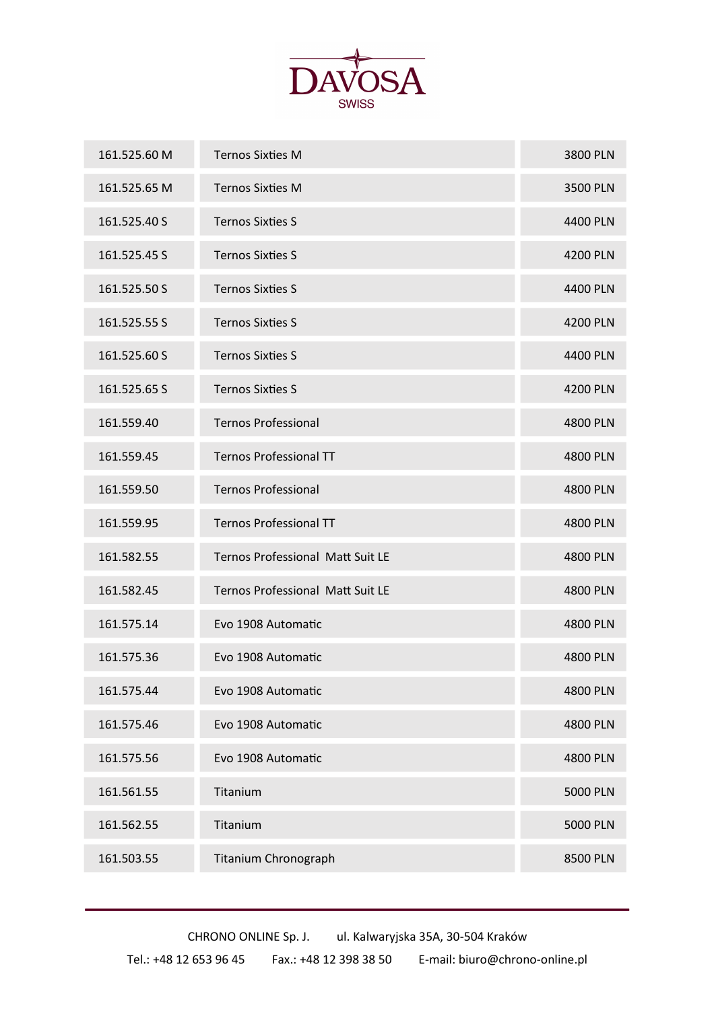

| 161.525.60 M | <b>Ternos Sixties M</b>          | 3800 PLN        |
|--------------|----------------------------------|-----------------|
| 161.525.65 M | <b>Ternos Sixties M</b>          | 3500 PLN        |
| 161.525.40 S | <b>Ternos Sixties S</b>          | 4400 PLN        |
| 161.525.45 S | <b>Ternos Sixties S</b>          | 4200 PLN        |
| 161.525.50 S | <b>Ternos Sixties S</b>          | 4400 PLN        |
| 161.525.55 S | <b>Ternos Sixties S</b>          | 4200 PLN        |
| 161.525.60 S | <b>Ternos Sixties S</b>          | 4400 PLN        |
| 161.525.65 S | <b>Ternos Sixties S</b>          | 4200 PLN        |
| 161.559.40   | <b>Ternos Professional</b>       | 4800 PLN        |
| 161.559.45   | <b>Ternos Professional TT</b>    | <b>4800 PLN</b> |
| 161.559.50   | <b>Ternos Professional</b>       | 4800 PLN        |
| 161.559.95   | <b>Ternos Professional TT</b>    | 4800 PLN        |
| 161.582.55   | Ternos Professional Matt Suit LE | 4800 PLN        |
| 161.582.45   | Ternos Professional Matt Suit LE | 4800 PLN        |
| 161.575.14   | Evo 1908 Automatic               | 4800 PLN        |
| 161.575.36   | Evo 1908 Automatic               | 4800 PLN        |
| 161.575.44   | Evo 1908 Automatic               | 4800 PLN        |
| 161.575.46   | Evo 1908 Automatic               | 4800 PLN        |
| 161.575.56   | Evo 1908 Automatic               | 4800 PLN        |
| 161.561.55   | Titanium                         | <b>5000 PLN</b> |
| 161.562.55   | Titanium                         | 5000 PLN        |
| 161.503.55   | Titanium Chronograph             | 8500 PLN        |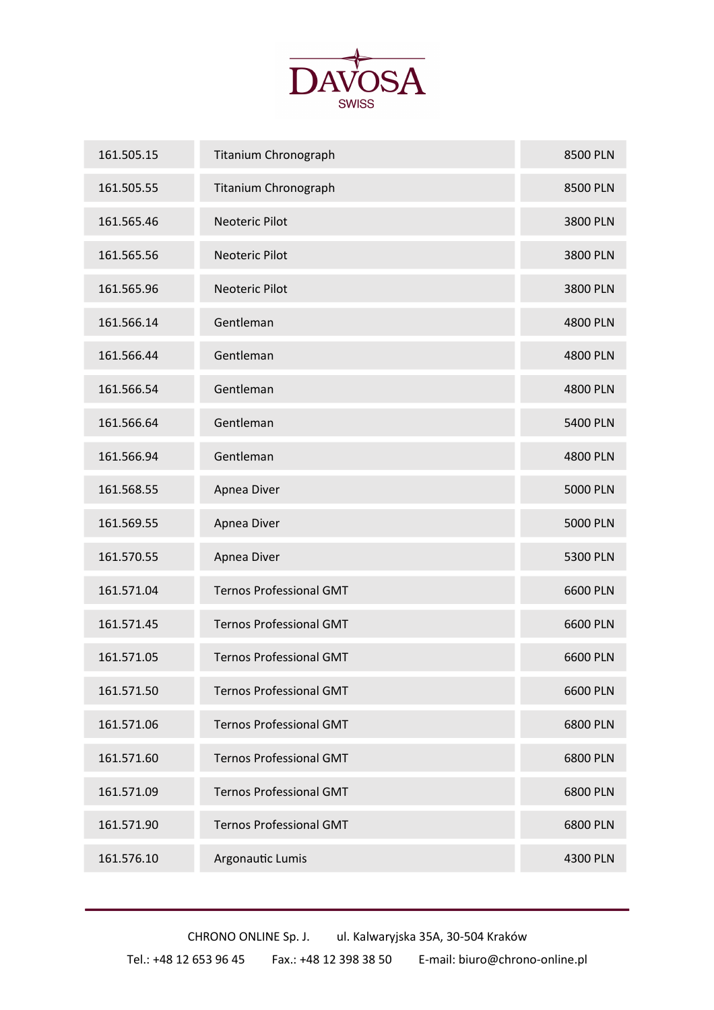

| 161.505.15 | <b>Titanium Chronograph</b>    | 8500 PLN        |
|------------|--------------------------------|-----------------|
| 161.505.55 | Titanium Chronograph           | 8500 PLN        |
| 161.565.46 | Neoteric Pilot                 | 3800 PLN        |
| 161.565.56 | Neoteric Pilot                 | 3800 PLN        |
| 161.565.96 | Neoteric Pilot                 | 3800 PLN        |
| 161.566.14 | Gentleman                      | 4800 PLN        |
| 161.566.44 | Gentleman                      | 4800 PLN        |
| 161.566.54 | Gentleman                      | 4800 PLN        |
| 161.566.64 | Gentleman                      | 5400 PLN        |
| 161.566.94 | Gentleman                      | 4800 PLN        |
| 161.568.55 | Apnea Diver                    | <b>5000 PLN</b> |
| 161.569.55 | Apnea Diver                    | <b>5000 PLN</b> |
| 161.570.55 | Apnea Diver                    | 5300 PLN        |
| 161.571.04 | <b>Ternos Professional GMT</b> | 6600 PLN        |
| 161.571.45 | <b>Ternos Professional GMT</b> | 6600 PLN        |
| 161.571.05 | <b>Ternos Professional GMT</b> | 6600 PLN        |
| 161.571.50 | <b>Ternos Professional GMT</b> | 6600 PLN        |
| 161.571.06 | <b>Ternos Professional GMT</b> | 6800 PLN        |
| 161.571.60 | <b>Ternos Professional GMT</b> | 6800 PLN        |
| 161.571.09 | <b>Ternos Professional GMT</b> | 6800 PLN        |
| 161.571.90 | <b>Ternos Professional GMT</b> | 6800 PLN        |
| 161.576.10 | Argonautic Lumis               | 4300 PLN        |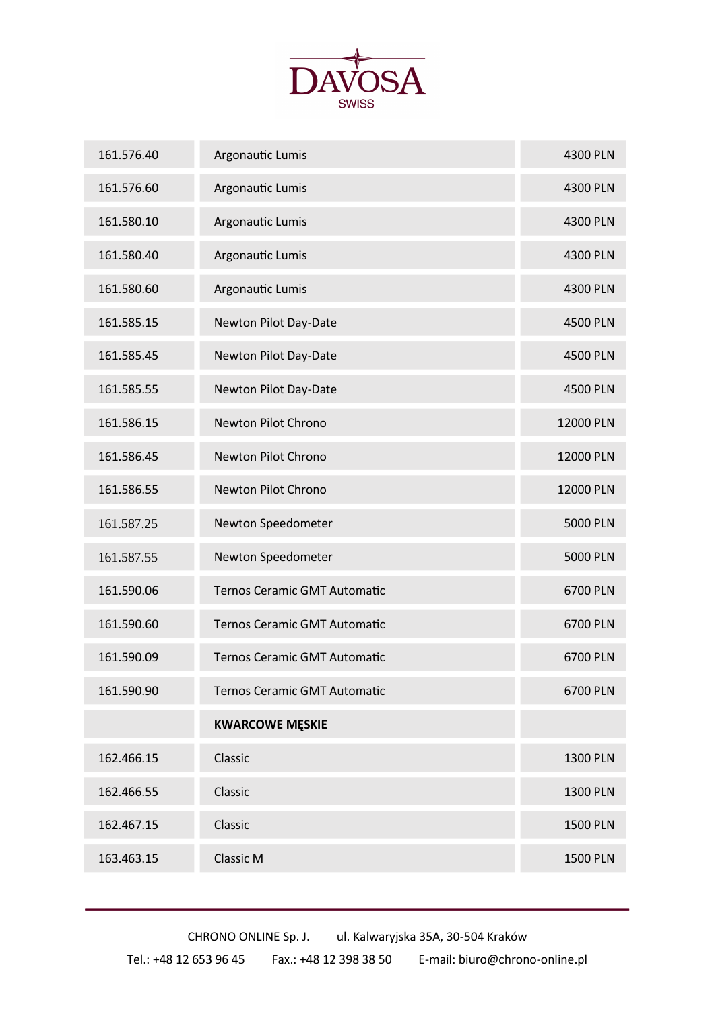

| 161.576.40 | Argonautic Lumis                    | 4300 PLN        |
|------------|-------------------------------------|-----------------|
| 161.576.60 | Argonautic Lumis                    | 4300 PLN        |
| 161.580.10 | Argonautic Lumis                    | 4300 PLN        |
| 161.580.40 | Argonautic Lumis                    | 4300 PLN        |
| 161.580.60 | Argonautic Lumis                    | 4300 PLN        |
| 161.585.15 | Newton Pilot Day-Date               | 4500 PLN        |
| 161.585.45 | Newton Pilot Day-Date               | 4500 PLN        |
| 161.585.55 | Newton Pilot Day-Date               | 4500 PLN        |
| 161.586.15 | Newton Pilot Chrono                 | 12000 PLN       |
| 161.586.45 | Newton Pilot Chrono                 | 12000 PLN       |
| 161.586.55 | Newton Pilot Chrono                 | 12000 PLN       |
| 161.587.25 | Newton Speedometer                  | <b>5000 PLN</b> |
| 161.587.55 | Newton Speedometer                  | <b>5000 PLN</b> |
| 161.590.06 | Ternos Ceramic GMT Automatic        | 6700 PLN        |
| 161.590.60 | Ternos Ceramic GMT Automatic        | 6700 PLN        |
| 161.590.09 | <b>Ternos Ceramic GMT Automatic</b> | 6700 PLN        |
| 161.590.90 | Ternos Ceramic GMT Automatic        | 6700 PLN        |
|            | <b>KWARCOWE MĘSKIE</b>              |                 |
| 162.466.15 | Classic                             | 1300 PLN        |
| 162.466.55 | Classic                             | 1300 PLN        |
| 162.467.15 | Classic                             | <b>1500 PLN</b> |
| 163.463.15 | Classic M                           | <b>1500 PLN</b> |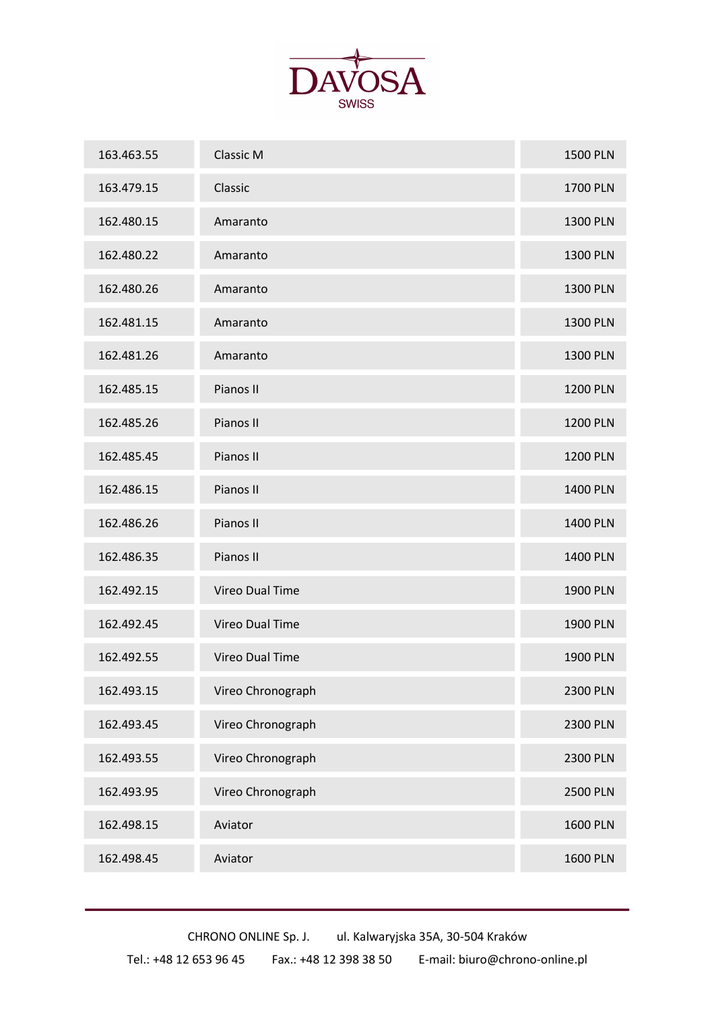

| 163.463.55 | Classic M              | <b>1500 PLN</b> |
|------------|------------------------|-----------------|
| 163.479.15 | Classic                | 1700 PLN        |
| 162.480.15 | Amaranto               | 1300 PLN        |
| 162.480.22 | Amaranto               | 1300 PLN        |
| 162.480.26 | Amaranto               | 1300 PLN        |
| 162.481.15 | Amaranto               | 1300 PLN        |
| 162.481.26 | Amaranto               | <b>1300 PLN</b> |
| 162.485.15 | Pianos II              | <b>1200 PLN</b> |
| 162.485.26 | Pianos II              | <b>1200 PLN</b> |
| 162.485.45 | Pianos II              | <b>1200 PLN</b> |
| 162.486.15 | Pianos II              | <b>1400 PLN</b> |
| 162.486.26 | Pianos II              | 1400 PLN        |
| 162.486.35 | Pianos II              | 1400 PLN        |
| 162.492.15 | Vireo Dual Time        | <b>1900 PLN</b> |
| 162.492.45 | Vireo Dual Time        | 1900 PLN        |
| 162.492.55 | <b>Vireo Dual Time</b> | 1900 PLN        |
| 162.493.15 | Vireo Chronograph      | <b>2300 PLN</b> |
| 162.493.45 | Vireo Chronograph      | <b>2300 PLN</b> |
| 162.493.55 | Vireo Chronograph      | 2300 PLN        |
| 162.493.95 | Vireo Chronograph      | <b>2500 PLN</b> |
| 162.498.15 | Aviator                | <b>1600 PLN</b> |
| 162.498.45 | Aviator                | <b>1600 PLN</b> |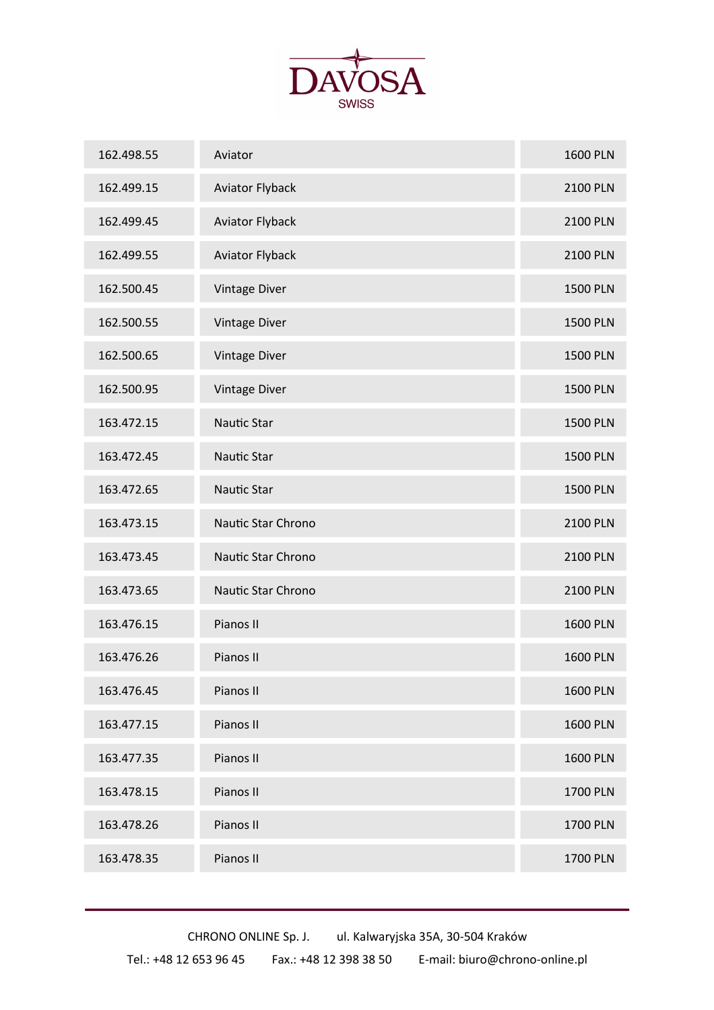

| 162.498.55 | Aviator                | <b>1600 PLN</b> |
|------------|------------------------|-----------------|
| 162.499.15 | <b>Aviator Flyback</b> | 2100 PLN        |
| 162.499.45 | <b>Aviator Flyback</b> | 2100 PLN        |
| 162.499.55 | <b>Aviator Flyback</b> | <b>2100 PLN</b> |
| 162.500.45 | <b>Vintage Diver</b>   | <b>1500 PLN</b> |
| 162.500.55 | Vintage Diver          | <b>1500 PLN</b> |
| 162.500.65 | <b>Vintage Diver</b>   | <b>1500 PLN</b> |
| 162.500.95 | <b>Vintage Diver</b>   | <b>1500 PLN</b> |
| 163.472.15 | Nautic Star            | <b>1500 PLN</b> |
| 163.472.45 | <b>Nautic Star</b>     | <b>1500 PLN</b> |
| 163.472.65 | Nautic Star            | <b>1500 PLN</b> |
| 163.473.15 | Nautic Star Chrono     | 2100 PLN        |
| 163.473.45 | Nautic Star Chrono     | <b>2100 PLN</b> |
| 163.473.65 | Nautic Star Chrono     | <b>2100 PLN</b> |
| 163.476.15 | Pianos II              | <b>1600 PLN</b> |
| 163.476.26 | Pianos II              | <b>1600 PLN</b> |
| 163.476.45 | Pianos II              | <b>1600 PLN</b> |
| 163.477.15 | Pianos II              | <b>1600 PLN</b> |
| 163.477.35 | Pianos II              | <b>1600 PLN</b> |
| 163.478.15 | Pianos II              | 1700 PLN        |
| 163.478.26 | Pianos II              | 1700 PLN        |
| 163.478.35 | Pianos II              | 1700 PLN        |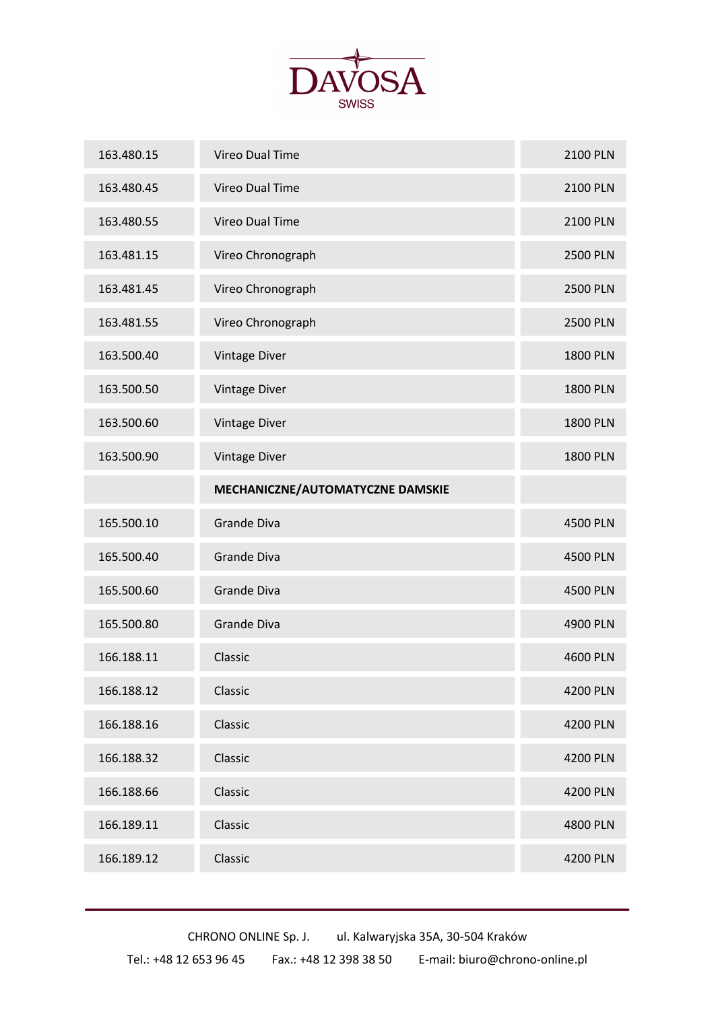

| 163.480.15 | <b>Vireo Dual Time</b>           | <b>2100 PLN</b> |
|------------|----------------------------------|-----------------|
| 163.480.45 | Vireo Dual Time                  | <b>2100 PLN</b> |
| 163.480.55 | <b>Vireo Dual Time</b>           | 2100 PLN        |
| 163.481.15 | Vireo Chronograph                | <b>2500 PLN</b> |
| 163.481.45 | Vireo Chronograph                | <b>2500 PLN</b> |
| 163.481.55 | Vireo Chronograph                | <b>2500 PLN</b> |
| 163.500.40 | Vintage Diver                    | <b>1800 PLN</b> |
| 163.500.50 | <b>Vintage Diver</b>             | <b>1800 PLN</b> |
| 163.500.60 | <b>Vintage Diver</b>             | <b>1800 PLN</b> |
| 163.500.90 | <b>Vintage Diver</b>             | <b>1800 PLN</b> |
|            | MECHANICZNE/AUTOMATYCZNE DAMSKIE |                 |
|            |                                  |                 |
| 165.500.10 | Grande Diva                      | 4500 PLN        |
| 165.500.40 | Grande Diva                      | 4500 PLN        |
| 165.500.60 | Grande Diva                      | 4500 PLN        |
| 165.500.80 | Grande Diva                      | 4900 PLN        |
| 166.188.11 | Classic                          | 4600 PLN        |
| 166.188.12 | Classic                          | 4200 PLN        |
| 166.188.16 | Classic                          | 4200 PLN        |
| 166.188.32 | Classic                          | 4200 PLN        |
| 166.188.66 | Classic                          | 4200 PLN        |
| 166.189.11 | Classic                          | 4800 PLN        |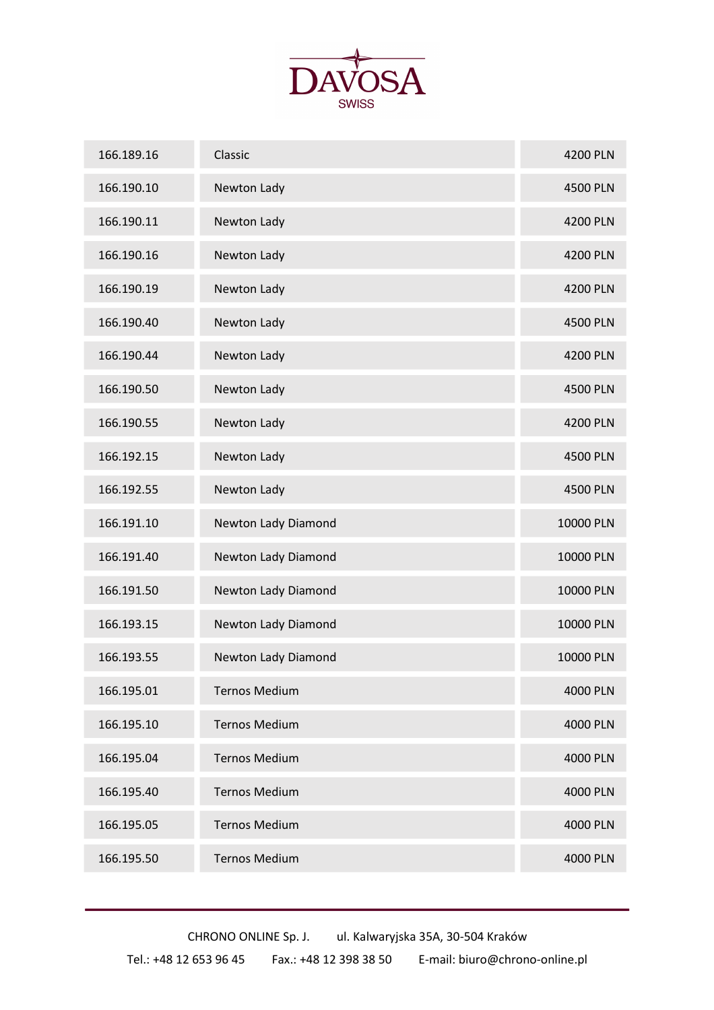

| 166.189.16 | Classic              | <b>4200 PLN</b> |
|------------|----------------------|-----------------|
| 166.190.10 | Newton Lady          | 4500 PLN        |
| 166.190.11 | Newton Lady          | 4200 PLN        |
| 166.190.16 | Newton Lady          | 4200 PLN        |
| 166.190.19 | Newton Lady          | 4200 PLN        |
| 166.190.40 | Newton Lady          | 4500 PLN        |
| 166.190.44 | Newton Lady          | 4200 PLN        |
| 166.190.50 | Newton Lady          | 4500 PLN        |
| 166.190.55 | Newton Lady          | 4200 PLN        |
| 166.192.15 | Newton Lady          | 4500 PLN        |
| 166.192.55 | Newton Lady          | <b>4500 PLN</b> |
| 166.191.10 | Newton Lady Diamond  | 10000 PLN       |
| 166.191.40 | Newton Lady Diamond  | 10000 PLN       |
| 166.191.50 | Newton Lady Diamond  | 10000 PLN       |
| 166.193.15 | Newton Lady Diamond  | 10000 PLN       |
| 166.193.55 | Newton Lady Diamond  | 10000 PLN       |
| 166.195.01 | <b>Ternos Medium</b> | 4000 PLN        |
| 166.195.10 | <b>Ternos Medium</b> | 4000 PLN        |
| 166.195.04 | <b>Ternos Medium</b> | 4000 PLN        |
| 166.195.40 | <b>Ternos Medium</b> | 4000 PLN        |
| 166.195.05 | <b>Ternos Medium</b> | 4000 PLN        |
| 166.195.50 | <b>Ternos Medium</b> | 4000 PLN        |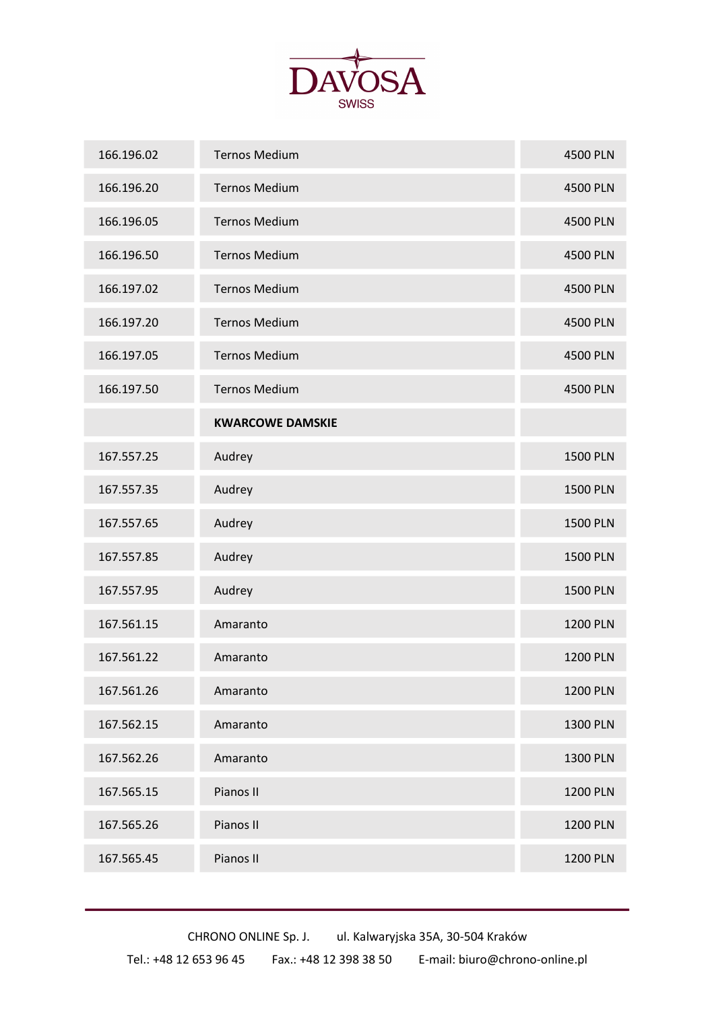

| 166.196.02 | <b>Ternos Medium</b>    | 4500 PLN        |
|------------|-------------------------|-----------------|
| 166.196.20 | <b>Ternos Medium</b>    | 4500 PLN        |
| 166.196.05 | <b>Ternos Medium</b>    | 4500 PLN        |
| 166.196.50 | <b>Ternos Medium</b>    | 4500 PLN        |
| 166.197.02 | <b>Ternos Medium</b>    | 4500 PLN        |
| 166.197.20 | <b>Ternos Medium</b>    | 4500 PLN        |
| 166.197.05 | <b>Ternos Medium</b>    | 4500 PLN        |
| 166.197.50 | <b>Ternos Medium</b>    | 4500 PLN        |
|            | <b>KWARCOWE DAMSKIE</b> |                 |
| 167.557.25 | Audrey                  | <b>1500 PLN</b> |
| 167.557.35 | Audrey                  | <b>1500 PLN</b> |
| 167.557.65 | Audrey                  | <b>1500 PLN</b> |
| 167.557.85 | Audrey                  | <b>1500 PLN</b> |
| 167.557.95 | Audrey                  | <b>1500 PLN</b> |
| 167.561.15 | Amaranto                | <b>1200 PLN</b> |
| 167.561.22 | Amaranto                | <b>1200 PLN</b> |
| 167.561.26 | Amaranto                | <b>1200 PLN</b> |
| 167.562.15 | Amaranto                | <b>1300 PLN</b> |
| 167.562.26 | Amaranto                | 1300 PLN        |
| 167.565.15 | Pianos II               | <b>1200 PLN</b> |
| 167.565.26 | Pianos II               | <b>1200 PLN</b> |
| 167.565.45 | Pianos II               | <b>1200 PLN</b> |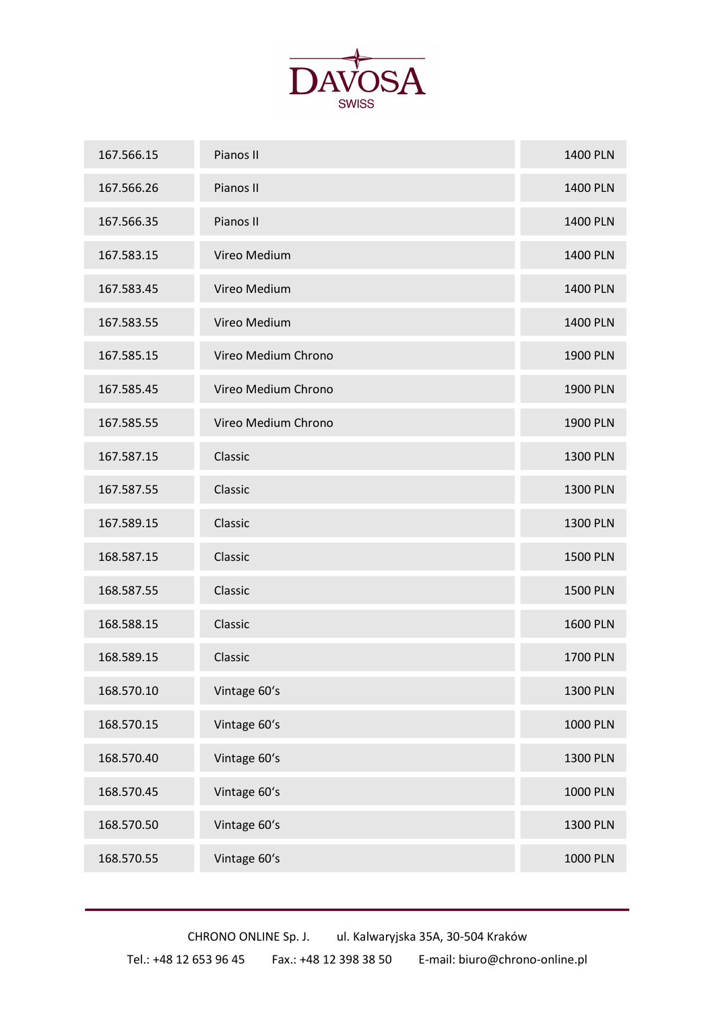

| 167.566.15 | Pianos II           | 1400 PLN        |
|------------|---------------------|-----------------|
| 167.566.26 | Pianos II           | 1400 PLN        |
| 167.566.35 | Pianos II           | 1400 PLN        |
| 167.583.15 | Vireo Medium        | 1400 PLN        |
| 167.583.45 | Vireo Medium        | <b>1400 PLN</b> |
| 167.583.55 | Vireo Medium        | 1400 PLN        |
| 167.585.15 | Vireo Medium Chrono | <b>1900 PLN</b> |
| 167.585.45 | Vireo Medium Chrono | <b>1900 PLN</b> |
| 167.585.55 | Vireo Medium Chrono | 1900 PLN        |
| 167.587.15 | Classic             | 1300 PLN        |
| 167.587.55 | Classic             | 1300 PLN        |
| 167.589.15 | Classic             | 1300 PLN        |
| 168.587.15 | Classic             | <b>1500 PLN</b> |
| 168.587.55 | Classic             | <b>1500 PLN</b> |
| 168.588.15 | Classic             | <b>1600 PLN</b> |
| 168.589.15 | Classic             | 1700 PLN        |
| 168.570.10 | Vintage 60's        | 1300 PLN        |
| 168.570.15 | Vintage 60's        | <b>1000 PLN</b> |
| 168.570.40 | Vintage 60's        | 1300 PLN        |
| 168.570.45 | Vintage 60's        | 1000 PLN        |
| 168.570.50 | Vintage 60's        | 1300 PLN        |
| 168.570.55 | Vintage 60's        | 1000 PLN        |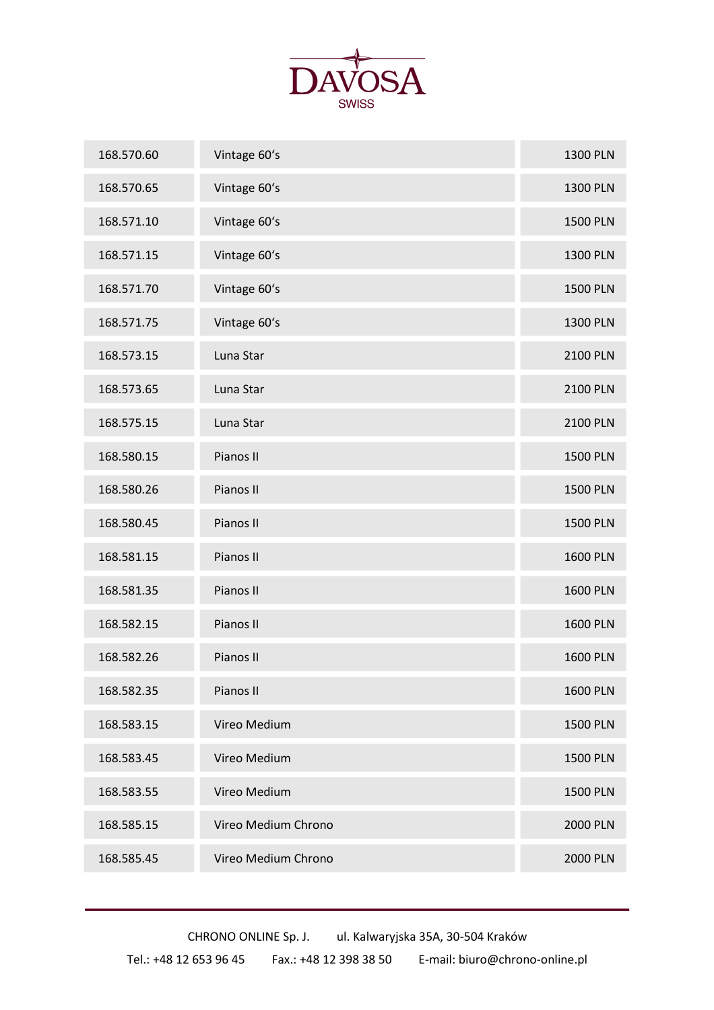

| 168.570.60 | Vintage 60's        | <b>1300 PLN</b> |
|------------|---------------------|-----------------|
| 168.570.65 | Vintage 60's        | 1300 PLN        |
| 168.571.10 | Vintage 60's        | <b>1500 PLN</b> |
| 168.571.15 | Vintage 60's        | <b>1300 PLN</b> |
| 168.571.70 | Vintage 60's        | <b>1500 PLN</b> |
| 168.571.75 | Vintage 60's        | 1300 PLN        |
| 168.573.15 | Luna Star           | <b>2100 PLN</b> |
| 168.573.65 | Luna Star           | 2100 PLN        |
| 168.575.15 | Luna Star           | 2100 PLN        |
| 168.580.15 | Pianos II           | <b>1500 PLN</b> |
| 168.580.26 | Pianos II           | <b>1500 PLN</b> |
| 168.580.45 | Pianos II           | <b>1500 PLN</b> |
| 168.581.15 | Pianos II           | <b>1600 PLN</b> |
| 168.581.35 | Pianos II           | <b>1600 PLN</b> |
| 168.582.15 | Pianos II           | <b>1600 PLN</b> |
| 168.582.26 | Pianos II           | <b>1600 PLN</b> |
| 168.582.35 | Pianos II           | <b>1600 PLN</b> |
| 168.583.15 | Vireo Medium        | <b>1500 PLN</b> |
| 168.583.45 | Vireo Medium        | <b>1500 PLN</b> |
| 168.583.55 | Vireo Medium        | <b>1500 PLN</b> |
| 168.585.15 | Vireo Medium Chrono | 2000 PLN        |
| 168.585.45 | Vireo Medium Chrono | <b>2000 PLN</b> |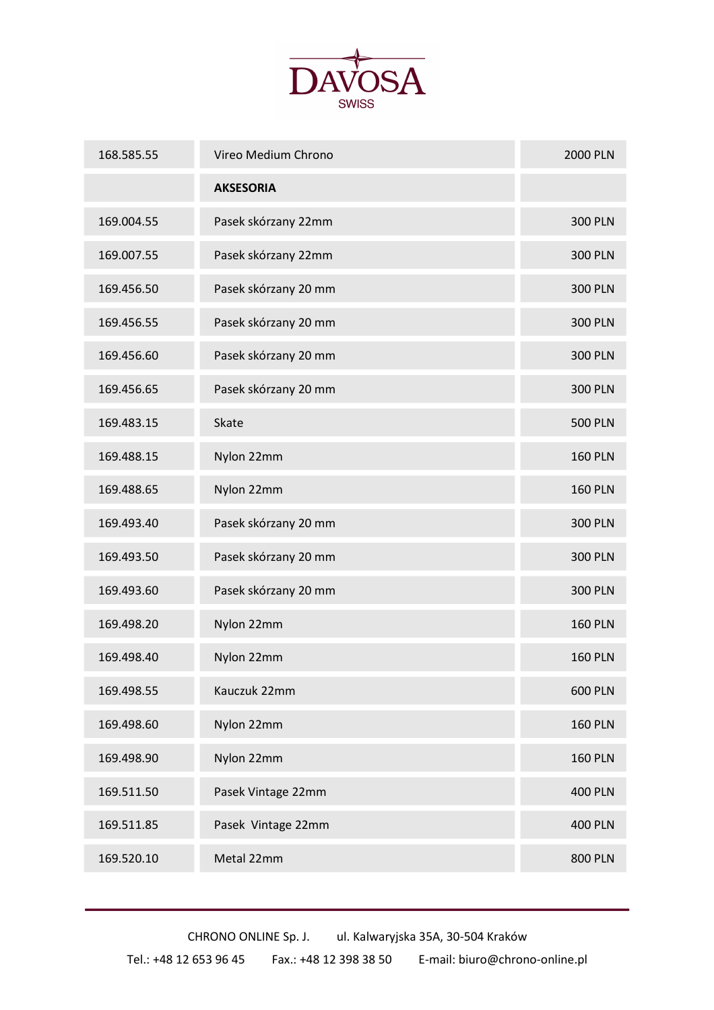

| 168.585.55 | Vireo Medium Chrono  | <b>2000 PLN</b> |
|------------|----------------------|-----------------|
|            | <b>AKSESORIA</b>     |                 |
| 169.004.55 | Pasek skórzany 22mm  | <b>300 PLN</b>  |
| 169.007.55 | Pasek skórzany 22mm  | <b>300 PLN</b>  |
| 169.456.50 | Pasek skórzany 20 mm | <b>300 PLN</b>  |
| 169.456.55 | Pasek skórzany 20 mm | <b>300 PLN</b>  |
| 169.456.60 | Pasek skórzany 20 mm | <b>300 PLN</b>  |
| 169.456.65 | Pasek skórzany 20 mm | <b>300 PLN</b>  |
| 169.483.15 | Skate                | <b>500 PLN</b>  |
| 169.488.15 | Nylon 22mm           | <b>160 PLN</b>  |
| 169.488.65 | Nylon 22mm           | <b>160 PLN</b>  |
| 169.493.40 | Pasek skórzany 20 mm | <b>300 PLN</b>  |
| 169.493.50 | Pasek skórzany 20 mm | <b>300 PLN</b>  |
| 169.493.60 | Pasek skórzany 20 mm | <b>300 PLN</b>  |
| 169.498.20 | Nylon 22mm           | <b>160 PLN</b>  |
| 169.498.40 | Nylon 22mm           | <b>160 PLN</b>  |
| 169.498.55 | Kauczuk 22mm         | <b>600 PLN</b>  |
| 169.498.60 | Nylon 22mm           | <b>160 PLN</b>  |
| 169.498.90 | Nylon 22mm           | <b>160 PLN</b>  |
| 169.511.50 | Pasek Vintage 22mm   | <b>400 PLN</b>  |
| 169.511.85 | Pasek Vintage 22mm   | <b>400 PLN</b>  |
| 169.520.10 | Metal 22mm           | <b>800 PLN</b>  |